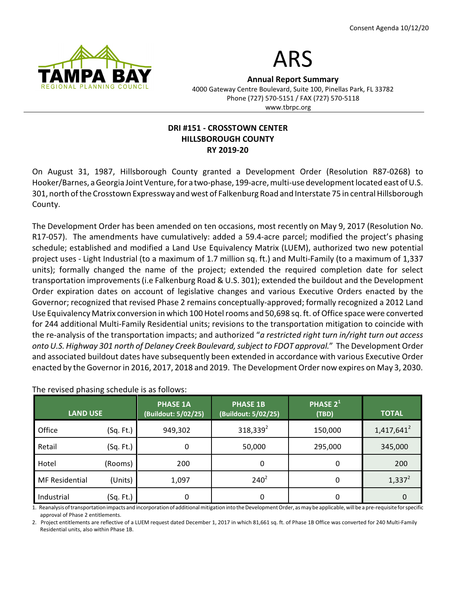



**Annual Report Summary** 4000 Gateway Centre Boulevard, Suite 100, Pinellas Park, FL 33782 Phone (727) 570-5151 / FAX (727) 570-5118 www.tbrpc.org

## **DRI #151 - CROSSTOWN CENTER HILLSBOROUGH COUNTY RY 2019-20**

On August 31, 1987, Hillsborough County granted a Development Order (Resolution R87-0268) to Hooker/Barnes, a Georgia Joint Venture, for a two-phase, 199-acre, multi-use development located east of U.S. 301, north ofthe Crosstown Expressway and west of Falkenburg Road and Interstate 75 in central Hillsborough County.

The Development Order has been amended on ten occasions, most recently on May 9, 2017 (Resolution No. R17-057). The amendments have cumulatively: added a 59.4-acre parcel; modified the project's phasing schedule; established and modified a Land Use Equivalency Matrix (LUEM), authorized two new potential project uses - Light Industrial (to a maximum of 1.7 million sq. ft.) and Multi-Family (to a maximum of 1,337 units); formally changed the name of the project; extended the required completion date for select transportation improvements (i.e Falkenburg Road & U.S. 301); extended the buildout and the Development Order expiration dates on account of legislative changes and various Executive Orders enacted by the Governor; recognized that revised Phase 2 remains conceptually-approved; formally recognized a 2012 Land Use Equivalency Matrix conversion in which 100 Hotel rooms and 50,698 sq. ft. ofOffice space were converted for 244 additional Multi-Family Residential units; revisions to the transportation mitigation to coincide with the re-analysis of the transportation impacts; and authorized "*a restricted right turn in/right turn out access onto U.S. Highway 301 north of Delaney Creek Boulevard, subject to FDOT approval.*" The Development Order and associated buildout dates have subsequently been extended in accordance with various Executive Order enacted by the Governor in 2016, 2017, 2018 and 2019. The Development Order now expires on May 3, 2030.

| <b>LAND USE</b>       |           | <b>PHASE 1A</b><br>(Buildout: 5/02/25) | <b>PHASE 1B</b><br>(Buildout: 5/02/25) | PHASE $2^1$<br>(TBD) | <b>TOTAL</b>  |
|-----------------------|-----------|----------------------------------------|----------------------------------------|----------------------|---------------|
| Office                | (Sq. Ft.) | 949,302                                | $318,339^2$                            | 150,000              | $1,417,641^2$ |
| Retail                | (Sq. Ft.) | 0                                      | 50,000                                 | 295,000              | 345,000       |
| Hotel                 | (Rooms)   | 200                                    | 0                                      | 0                    | 200           |
| <b>MF</b> Residential | (Units)   | 1,097                                  | $240^2$                                | 0                    | $1,337^2$     |
| Industrial            | (Sq. Ft.) | 0                                      | 0                                      | 0                    |               |

The revised phasing schedule is as follows:

1. Reanalysis of transportation impacts and incorporation of additional mitigation into the Development Order, as may be applicable, will be a pre-requisite for specific approval of Phase 2 entitlements.

2. Project entitlements are reflective of a LUEM request dated December 1, 2017 in which 81,661 sq. ft. of Phase 1B Office was converted for 240 Multi-Family Residential units, also within Phase 1B.